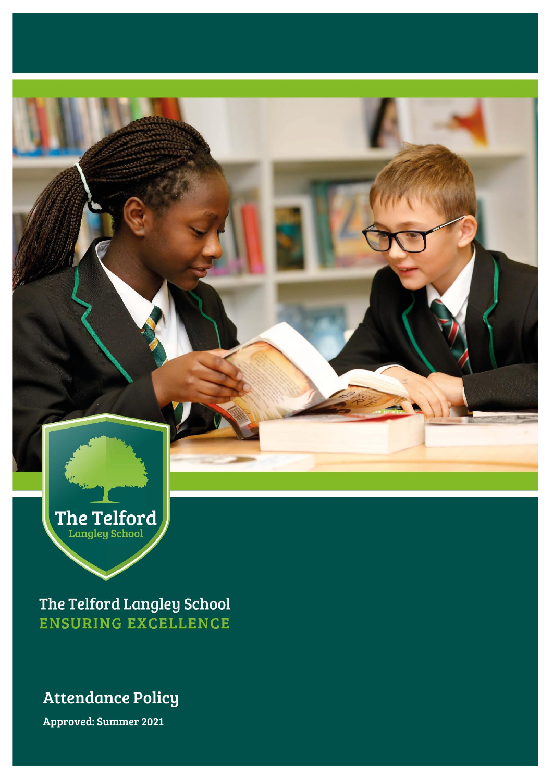

The Telford Langley School **ENSURING EXCELLENCE** 

# Attendance Policy

Approved: Summer 2021 Approved: Summer 2021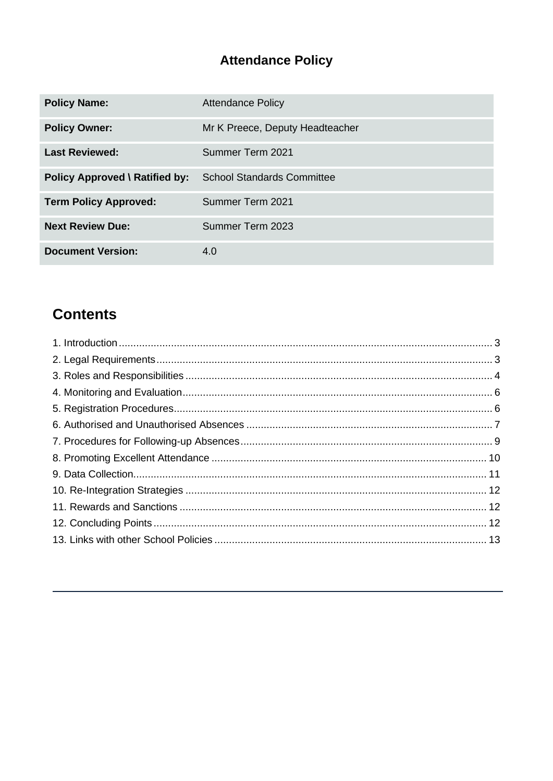# **Attendance Policy**

| <b>Policy Name:</b>                   | <b>Attendance Policy</b>          |
|---------------------------------------|-----------------------------------|
| <b>Policy Owner:</b>                  | Mr K Preece, Deputy Headteacher   |
| <b>Last Reviewed:</b>                 | Summer Term 2021                  |
| <b>Policy Approved \ Ratified by:</b> | <b>School Standards Committee</b> |
| <b>Term Policy Approved:</b>          | Summer Term 2021                  |
| <b>Next Review Due:</b>               | Summer Term 2023                  |
| <b>Document Version:</b>              | 4.0                               |

# **Contents**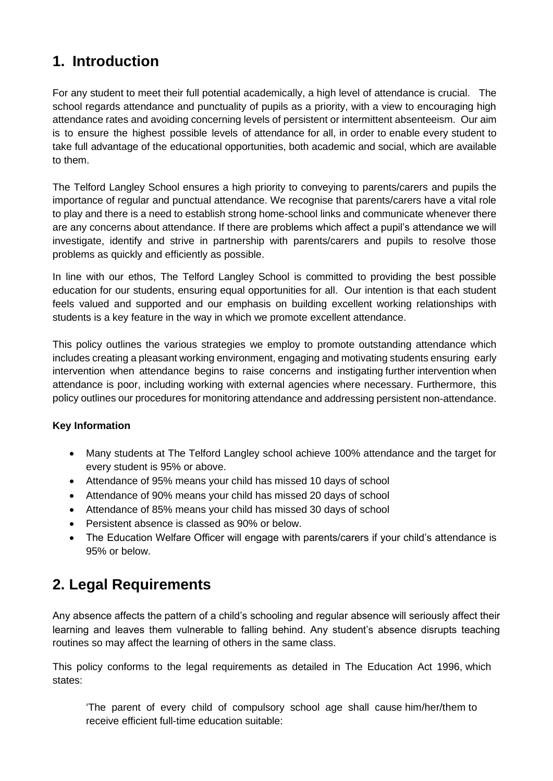# <span id="page-2-0"></span>**1. Introduction**

For any student to meet their full potential academically, a high level of attendance is crucial. The school regards attendance and punctuality of pupils as a priority, with a view to encouraging high attendance rates and avoiding concerning levels of persistent or intermittent absenteeism. Our aim is to ensure the highest possible levels of attendance for all, in order to enable every student to take full advantage of the educational opportunities, both academic and social, which are available to them.

The Telford Langley School ensures a high priority to conveying to parents/carers and pupils the importance of regular and punctual attendance. We recognise that parents/carers have a vital role to play and there is a need to establish strong home-school links and communicate whenever there are any concerns about attendance. If there are problems which affect a pupil's attendance we will investigate, identify and strive in partnership with parents/carers and pupils to resolve those problems as quickly and efficiently as possible.

In line with our ethos, The Telford Langley School is committed to providing the best possible education for our students, ensuring equal opportunities for all. Our intention is that each student feels valued and supported and our emphasis on building excellent working relationships with students is a key feature in the way in which we promote excellent attendance.

This policy outlines the various strategies we employ to promote outstanding attendance which includes creating a pleasant working environment, engaging and motivating students ensuring early intervention when attendance begins to raise concerns and instigating further intervention when attendance is poor, including working with external agencies where necessary. Furthermore, this policy outlines our procedures for monitoring attendance and addressing persistent non-attendance.

#### **Key Information**

- Many students at The Telford Langley school achieve 100% attendance and the target for every student is 95% or above.
- Attendance of 95% means your child has missed 10 days of school
- Attendance of 90% means your child has missed 20 days of school
- Attendance of 85% means your child has missed 30 days of school
- Persistent absence is classed as 90% or below.
- The Education Welfare Officer will engage with parents/carers if your child's attendance is 95% or below.

# <span id="page-2-1"></span>**2. Legal Requirements**

Any absence affects the pattern of a child's schooling and regular absence will seriously affect their learning and leaves them vulnerable to falling behind. Any student's absence disrupts teaching routines so may affect the learning of others in the same class.

This policy conforms to the legal requirements as detailed in The Education Act 1996, which states:

'The parent of every child of compulsory school age shall cause him/her/them to receive efficient full-time education suitable: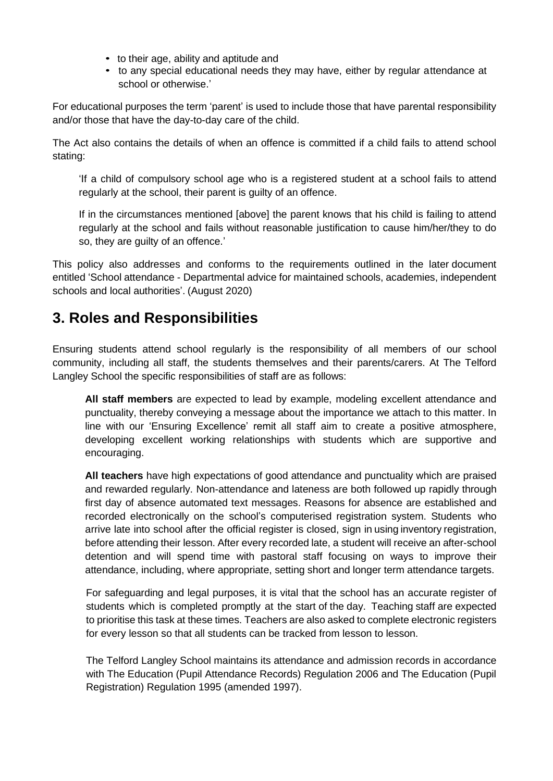- to their age, ability and aptitude and
- to any special educational needs they may have, either by regular attendance at school or otherwise.'

For educational purposes the term 'parent' is used to include those that have parental responsibility and/or those that have the day-to-day care of the child.

The Act also contains the details of when an offence is committed if a child fails to attend school stating:

'If a child of compulsory school age who is a registered student at a school fails to attend regularly at the school, their parent is guilty of an offence.

If in the circumstances mentioned [above] the parent knows that his child is failing to attend regularly at the school and fails without reasonable justification to cause him/her/they to do so, they are guilty of an offence.'

This policy also addresses and conforms to the requirements outlined in the later document entitled 'School attendance - Departmental advice for maintained schools, academies, independent schools and local authorities'. (August 2020)

### <span id="page-3-0"></span>**3. Roles and Responsibilities**

Ensuring students attend school regularly is the responsibility of all members of our school community, including all staff, the students themselves and their parents/carers. At The Telford Langley School the specific responsibilities of staff are as follows:

**All staff members** are expected to lead by example, modeling excellent attendance and punctuality, thereby conveying a message about the importance we attach to this matter. In line with our 'Ensuring Excellence' remit all staff aim to create a positive atmosphere, developing excellent working relationships with students which are supportive and encouraging.

**All teachers** have high expectations of good attendance and punctuality which are praised and rewarded regularly. Non-attendance and lateness are both followed up rapidly through first day of absence automated text messages. Reasons for absence are established and recorded electronically on the school's computerised registration system. Students who arrive late into school after the official register is closed, sign in using inventory registration, before attending their lesson. After every recorded late, a student will receive an after-school detention and will spend time with pastoral staff focusing on ways to improve their attendance, including, where appropriate, setting short and longer term attendance targets.

For safeguarding and legal purposes, it is vital that the school has an accurate register of students which is completed promptly at the start of the day. Teaching staff are expected to prioritise this task at these times. Teachers are also asked to complete electronic registers for every lesson so that all students can be tracked from lesson to lesson.

The Telford Langley School maintains its attendance and admission records in accordance with The Education (Pupil Attendance Records) Regulation 2006 and The Education (Pupil Registration) Regulation 1995 (amended 1997).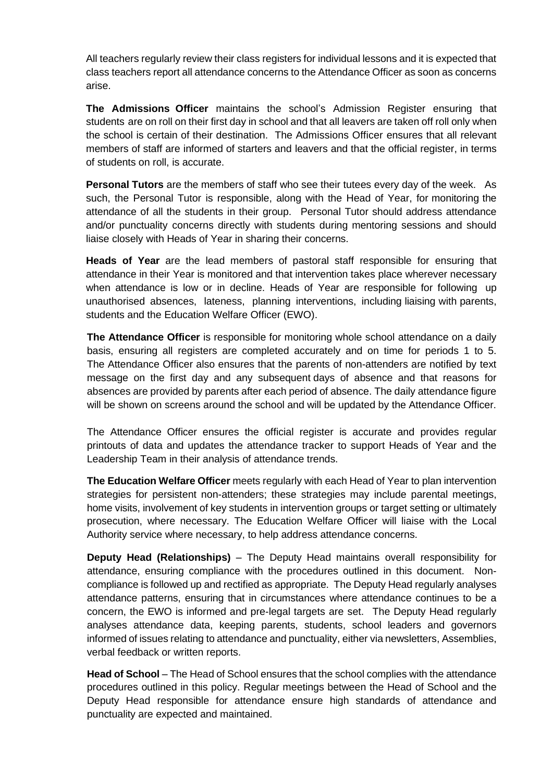All teachers regularly review their class registers for individual lessons and it is expected that class teachers report all attendance concerns to the Attendance Officer as soon as concerns arise.

**The Admissions Officer** maintains the school's Admission Register ensuring that students are on roll on their first day in school and that all leavers are taken off roll only when the school is certain of their destination. The Admissions Officer ensures that all relevant members of staff are informed of starters and leavers and that the official register, in terms of students on roll, is accurate.

**Personal Tutors** are the members of staff who see their tutees every day of the week. As such, the Personal Tutor is responsible, along with the Head of Year, for monitoring the attendance of all the students in their group. Personal Tutor should address attendance and/or punctuality concerns directly with students during mentoring sessions and should liaise closely with Heads of Year in sharing their concerns.

**Heads of Year** are the lead members of pastoral staff responsible for ensuring that attendance in their Year is monitored and that intervention takes place wherever necessary when attendance is low or in decline. Heads of Year are responsible for following up unauthorised absences, lateness, planning interventions, including liaising with parents, students and the Education Welfare Officer (EWO).

**The Attendance Officer** is responsible for monitoring whole school attendance on a daily basis, ensuring all registers are completed accurately and on time for periods 1 to 5. The Attendance Officer also ensures that the parents of non-attenders are notified by text message on the first day and any subsequent days of absence and that reasons for absences are provided by parents after each period of absence. The daily attendance figure will be shown on screens around the school and will be updated by the Attendance Officer.

The Attendance Officer ensures the official register is accurate and provides regular printouts of data and updates the attendance tracker to support Heads of Year and the Leadership Team in their analysis of attendance trends.

**The Education Welfare Officer** meets regularly with each Head of Year to plan intervention strategies for persistent non-attenders; these strategies may include parental meetings, home visits, involvement of key students in intervention groups or target setting or ultimately prosecution, where necessary. The Education Welfare Officer will liaise with the Local Authority service where necessary, to help address attendance concerns.

**Deputy Head (Relationships)** – The Deputy Head maintains overall responsibility for attendance, ensuring compliance with the procedures outlined in this document. Noncompliance is followed up and rectified as appropriate. The Deputy Head regularly analyses attendance patterns, ensuring that in circumstances where attendance continues to be a concern, the EWO is informed and pre-legal targets are set. The Deputy Head regularly analyses attendance data, keeping parents, students, school leaders and governors informed of issues relating to attendance and punctuality, either via newsletters, Assemblies, verbal feedback or written reports.

**Head of School** – The Head of School ensures that the school complies with the attendance procedures outlined in this policy. Regular meetings between the Head of School and the Deputy Head responsible for attendance ensure high standards of attendance and punctuality are expected and maintained.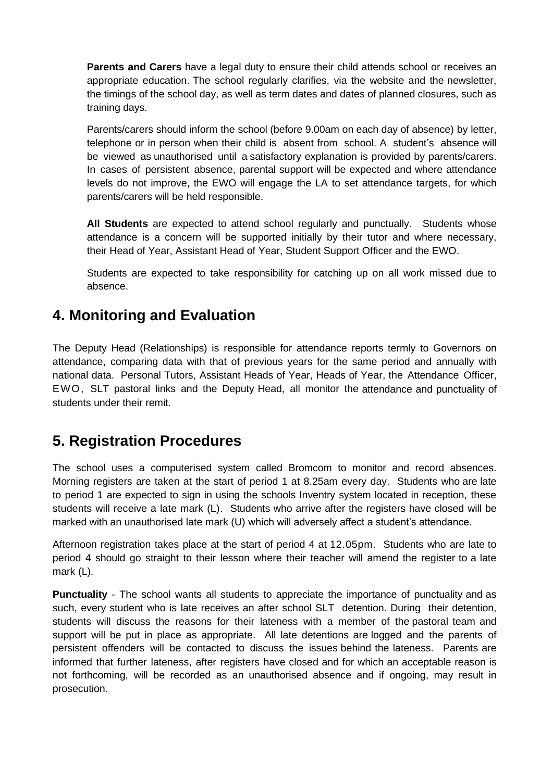**Parents and Carers** have a legal duty to ensure their child attends school or receives an appropriate education. The school regularly clarifies, via the website and the newsletter, the timings of the school day, as well as term dates and dates of planned closures, such as training days.

Parents/carers should inform the school (before 9.00am on each day of absence) by letter, telephone or in person when their child is absent from school. A student's absence will be viewed as unauthorised until a satisfactory explanation is provided by parents/carers. In cases of persistent absence, parental support will be expected and where attendance levels do not improve, the EWO will engage the LA to set attendance targets, for which parents/carers will be held responsible.

**All Students** are expected to attend school regularly and punctually. Students whose attendance is a concern will be supported initially by their tutor and where necessary, their Head of Year, Assistant Head of Year, Student Support Officer and the EWO.

Students are expected to take responsibility for catching up on all work missed due to absence.

### <span id="page-5-0"></span>**4. Monitoring and Evaluation**

The Deputy Head (Relationships) is responsible for attendance reports termly to Governors on attendance, comparing data with that of previous years for the same period and annually with national data. Personal Tutors, Assistant Heads of Year, Heads of Year, the Attendance Officer, EWO, SLT pastoral links and the Deputy Head, all monitor the attendance and punctuality of students under their remit.

### <span id="page-5-1"></span>**5. Registration Procedures**

The school uses a computerised system called Bromcom to monitor and record absences. Morning registers are taken at the start of period 1 at 8.25am every day. Students who are late to period 1 are expected to sign in using the schools Inventry system located in reception, these students will receive a late mark (L). Students who arrive after the registers have closed will be marked with an unauthorised late mark (U) which will adversely affect a student's attendance.

Afternoon registration takes place at the start of period 4 at 12.05pm. Students who are late to period 4 should go straight to their lesson where their teacher will amend the register to a late mark (L).

**Punctuality** - The school wants all students to appreciate the importance of punctuality and as such, every student who is late receives an after school SLT detention. During their detention, students will discuss the reasons for their lateness with a member of the pastoral team and support will be put in place as appropriate. All late detentions are logged and the parents of persistent offenders will be contacted to discuss the issues behind the lateness. Parents are informed that further lateness, after registers have closed and for which an acceptable reason is not forthcoming, will be recorded as an unauthorised absence and if ongoing, may result in prosecution.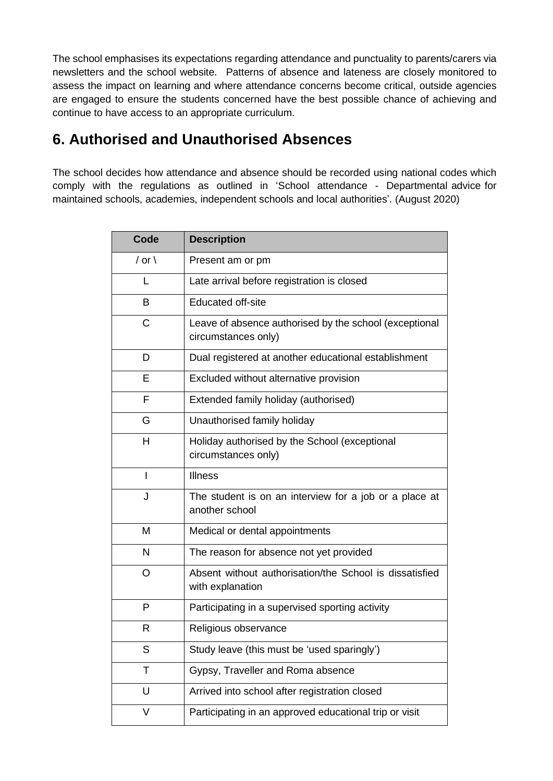The school emphasises its expectations regarding attendance and punctuality to parents/carers via newsletters and the school website. Patterns of absence and lateness are closely monitored to assess the impact on learning and where attendance concerns become critical, outside agencies are engaged to ensure the students concerned have the best possible chance of achieving and continue to have access to an appropriate curriculum.

### <span id="page-6-0"></span>**6. Authorised and Unauthorised Absences**

The school decides how attendance and absence should be recorded using national codes which comply with the regulations as outlined in 'School attendance - Departmental advice for maintained schools, academies, independent schools and local authorities'. (August 2020)

| Code             | <b>Description</b>                                                            |
|------------------|-------------------------------------------------------------------------------|
| / or $\setminus$ | Present am or pm                                                              |
| L                | Late arrival before registration is closed                                    |
| B                | <b>Educated off-site</b>                                                      |
| C                | Leave of absence authorised by the school (exceptional<br>circumstances only) |
| D                | Dual registered at another educational establishment                          |
| Ε                | Excluded without alternative provision                                        |
| F                | Extended family holiday (authorised)                                          |
| G                | Unauthorised family holiday                                                   |
| н                | Holiday authorised by the School (exceptional<br>circumstances only)          |
| ı                | Illness                                                                       |
| J                | The student is on an interview for a job or a place at<br>another school      |
| M                | Medical or dental appointments                                                |
| N                | The reason for absence not yet provided                                       |
| O                | Absent without authorisation/the School is dissatisfied<br>with explanation   |
| P                | Participating in a supervised sporting activity                               |
| R                | Religious observance                                                          |
| S                | Study leave (this must be 'used sparingly')                                   |
| Τ                | Gypsy, Traveller and Roma absence                                             |
| U                | Arrived into school after registration closed                                 |
| V                | Participating in an approved educational trip or visit                        |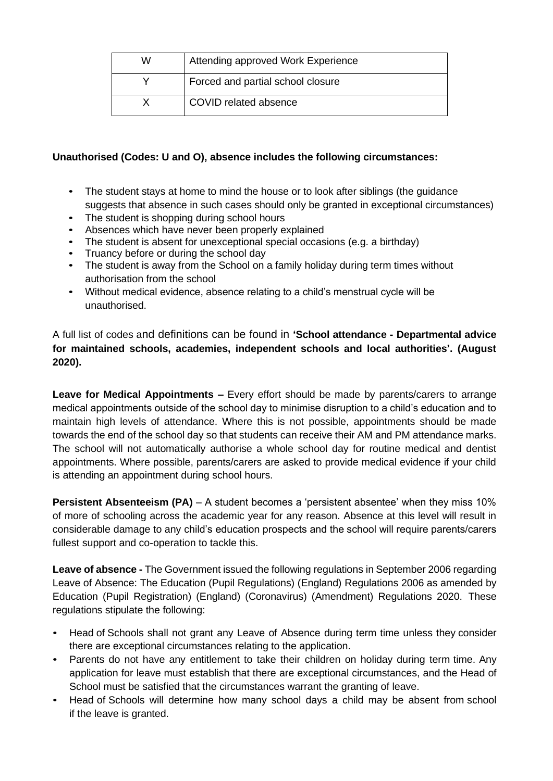| W | Attending approved Work Experience |
|---|------------------------------------|
|   | Forced and partial school closure  |
|   | COVID related absence              |

#### **Unauthorised (Codes: U and O), absence includes the following circumstances:**

- The student stays at home to mind the house or to look after siblings (the quidance suggests that absence in such cases should only be granted in exceptional circumstances)
- The student is shopping during school hours
- Absences which have never been properly explained
- The student is absent for unexceptional special occasions (e.g. a birthday)
- Truancy before or during the school day
- The student is away from the School on a family holiday during term times without authorisation from the school
- Without medical evidence, absence relating to a child's menstrual cycle will be unauthorised.

A full list of codes and definitions can be found in **'School attendance - Departmental advice for maintained schools, academies, independent schools and local authorities'. (August 2020).**

**Leave for Medical Appointments –** Every effort should be made by parents/carers to arrange medical appointments outside of the school day to minimise disruption to a child's education and to maintain high levels of attendance. Where this is not possible, appointments should be made towards the end of the school day so that students can receive their AM and PM attendance marks. The school will not automatically authorise a whole school day for routine medical and dentist appointments. Where possible, parents/carers are asked to provide medical evidence if your child is attending an appointment during school hours.

**Persistent Absenteeism (PA)** – A student becomes a 'persistent absentee' when they miss 10% of more of schooling across the academic year for any reason. Absence at this level will result in considerable damage to any child's education prospects and the school will require parents/carers fullest support and co-operation to tackle this.

**Leave of absence -** The Government issued the following regulations in September 2006 regarding Leave of Absence: The Education (Pupil Regulations) (England) Regulations 2006 as amended by Education (Pupil Registration) (England) (Coronavirus) (Amendment) Regulations 2020. These regulations stipulate the following:

- Head of Schools shall not grant any Leave of Absence during term time unless they consider there are exceptional circumstances relating to the application.
- Parents do not have any entitlement to take their children on holiday during term time. Any application for leave must establish that there are exceptional circumstances, and the Head of School must be satisfied that the circumstances warrant the granting of leave.
- Head of Schools will determine how many school days a child may be absent from school if the leave is granted.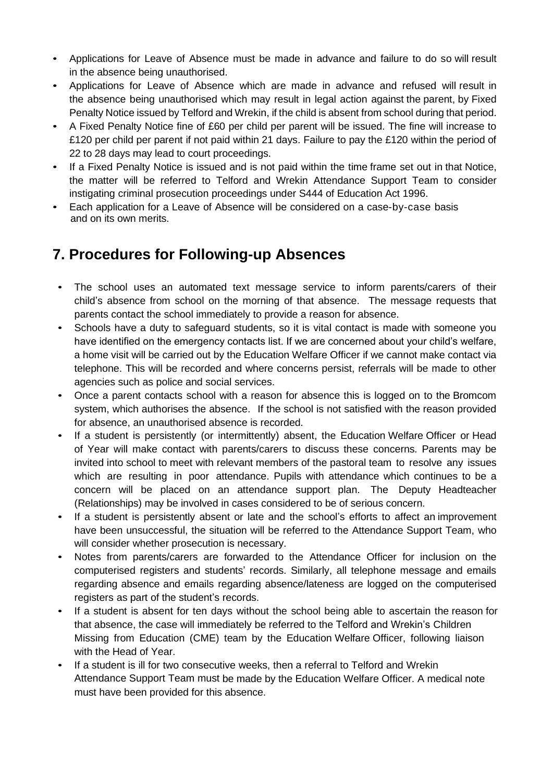- Applications for Leave of Absence must be made in advance and failure to do so will result in the absence being unauthorised.
- Applications for Leave of Absence which are made in advance and refused will result in the absence being unauthorised which may result in legal action against the parent, by Fixed Penalty Notice issued by Telford and Wrekin, if the child is absent from school during that period.
- A Fixed Penalty Notice fine of £60 per child per parent will be issued. The fine will increase to £120 per child per parent if not paid within 21 days. Failure to pay the £120 within the period of 22 to 28 days may lead to court proceedings.
- If a Fixed Penalty Notice is issued and is not paid within the time frame set out in that Notice, the matter will be referred to Telford and Wrekin Attendance Support Team to consider instigating criminal prosecution proceedings under S444 of Education Act 1996.
- Each application for a Leave of Absence will be considered on a case-by-case basis and on its own merits.

### <span id="page-8-0"></span>**7. Procedures for Following-up Absences**

- The school uses an automated text message service to inform parents/carers of their child's absence from school on the morning of that absence. The message requests that parents contact the school immediately to provide a reason for absence.
- Schools have a duty to safeguard students, so it is vital contact is made with someone you have identified on the emergency contacts list. If we are concerned about your child's welfare, a home visit will be carried out by the Education Welfare Officer if we cannot make contact via telephone. This will be recorded and where concerns persist, referrals will be made to other agencies such as police and social services.
- Once a parent contacts school with a reason for absence this is logged on to the Bromcom system, which authorises the absence. If the school is not satisfied with the reason provided for absence, an unauthorised absence is recorded.
- If a student is persistently (or intermittently) absent, the Education Welfare Officer or Head of Year will make contact with parents/carers to discuss these concerns. Parents may be invited into school to meet with relevant members of the pastoral team to resolve any issues which are resulting in poor attendance. Pupils with attendance which continues to be a concern will be placed on an attendance support plan. The Deputy Headteacher (Relationships) may be involved in cases considered to be of serious concern.
- If a student is persistently absent or late and the school's efforts to affect an improvement have been unsuccessful, the situation will be referred to the Attendance Support Team, who will consider whether prosecution is necessary.
- Notes from parents/carers are forwarded to the Attendance Officer for inclusion on the computerised registers and students' records. Similarly, all telephone message and emails regarding absence and emails regarding absence/lateness are logged on the computerised registers as part of the student's records.
- If a student is absent for ten days without the school being able to ascertain the reason for that absence, the case will immediately be referred to the Telford and Wrekin's Children Missing from Education (CME) team by the Education Welfare Officer, following liaison with the Head of Year.
- If a student is ill for two consecutive weeks, then a referral to Telford and Wrekin Attendance Support Team must be made by the Education Welfare Officer. A medical note must have been provided for this absence.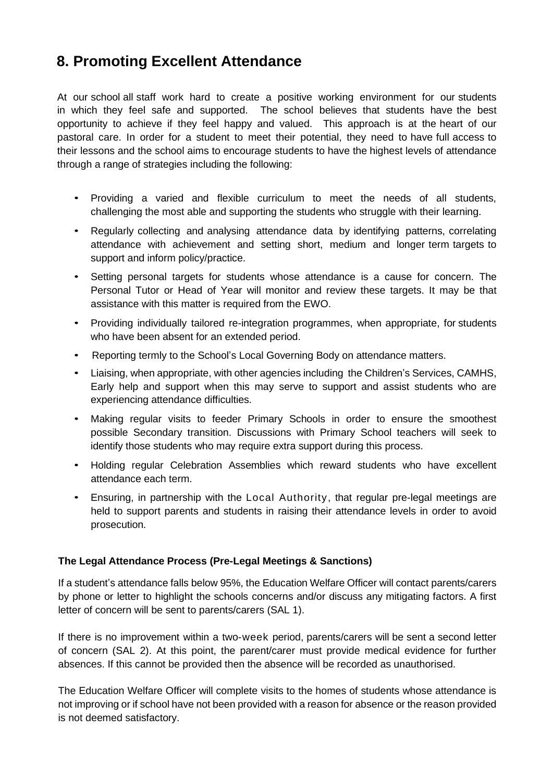# <span id="page-9-0"></span>**8. Promoting Excellent Attendance**

At our school all staff work hard to create a positive working environment for our students in which they feel safe and supported. The school believes that students have the best opportunity to achieve if they feel happy and valued. This approach is at the heart of our pastoral care. In order for a student to meet their potential, they need to have full access to their lessons and the school aims to encourage students to have the highest levels of attendance through a range of strategies including the following:

- Providing a varied and flexible curriculum to meet the needs of all students, challenging the most able and supporting the students who struggle with their learning.
- Regularly collecting and analysing attendance data by identifying patterns, correlating attendance with achievement and setting short, medium and longer term targets to support and inform policy/practice.
- Setting personal targets for students whose attendance is a cause for concern. The Personal Tutor or Head of Year will monitor and review these targets. It may be that assistance with this matter is required from the EWO.
- Providing individually tailored re-integration programmes, when appropriate, for students who have been absent for an extended period.
- Reporting termly to the School's Local Governing Body on attendance matters.
- Liaising, when appropriate, with other agencies including the Children's Services, CAMHS, Early help and support when this may serve to support and assist students who are experiencing attendance difficulties.
- Making regular visits to feeder Primary Schools in order to ensure the smoothest possible Secondary transition. Discussions with Primary School teachers will seek to identify those students who may require extra support during this process.
- Holding regular Celebration Assemblies which reward students who have excellent attendance each term.
- Ensuring, in partnership with the Local Authority, that regular pre-legal meetings are held to support parents and students in raising their attendance levels in order to avoid prosecution.

#### **The Legal Attendance Process (Pre-Legal Meetings & Sanctions)**

If a student's attendance falls below 95%, the Education Welfare Officer will contact parents/carers by phone or letter to highlight the schools concerns and/or discuss any mitigating factors. A first letter of concern will be sent to parents/carers (SAL 1).

If there is no improvement within a two-week period, parents/carers will be sent a second letter of concern (SAL 2). At this point, the parent/carer must provide medical evidence for further absences. If this cannot be provided then the absence will be recorded as unauthorised.

The Education Welfare Officer will complete visits to the homes of students whose attendance is not improving or if school have not been provided with a reason for absence or the reason provided is not deemed satisfactory.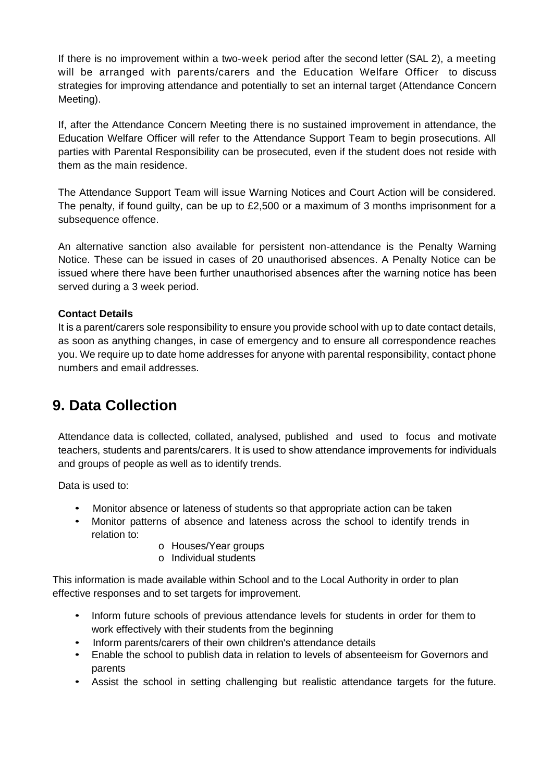If there is no improvement within a two-week period after the second letter (SAL 2), a meeting will be arranged with parents/carers and the Education Welfare Officer to discuss strategies for improving attendance and potentially to set an internal target (Attendance Concern Meeting).

If, after the Attendance Concern Meeting there is no sustained improvement in attendance, the Education Welfare Officer will refer to the Attendance Support Team to begin prosecutions. All parties with Parental Responsibility can be prosecuted, even if the student does not reside with them as the main residence.

The Attendance Support Team will issue Warning Notices and Court Action will be considered. The penalty, if found guilty, can be up to £2,500 or a maximum of 3 months imprisonment for a subsequence offence.

An alternative sanction also available for persistent non-attendance is the Penalty Warning Notice. These can be issued in cases of 20 unauthorised absences. A Penalty Notice can be issued where there have been further unauthorised absences after the warning notice has been served during a 3 week period.

#### **Contact Details**

It is a parent/carers sole responsibility to ensure you provide school with up to date contact details, as soon as anything changes, in case of emergency and to ensure all correspondence reaches you. We require up to date home addresses for anyone with parental responsibility, contact phone numbers and email addresses.

### <span id="page-10-0"></span>**9. Data Collection**

Attendance data is collected, collated, analysed, published and used to focus and motivate teachers, students and parents/carers. It is used to show attendance improvements for individuals and groups of people as well as to identify trends.

Data is used to:

- Monitor absence or lateness of students so that appropriate action can be taken
- Monitor patterns of absence and lateness across the school to identify trends in relation to:
	- o Houses/Year groups
	- o Individual students

This information is made available within School and to the Local Authority in order to plan effective responses and to set targets for improvement.

- Inform future schools of previous attendance levels for students in order for them to work effectively with their students from the beginning
- Inform parents/carers of their own children's attendance details
- Enable the school to publish data in relation to levels of absenteeism for Governors and parents
- Assist the school in setting challenging but realistic attendance targets for the future.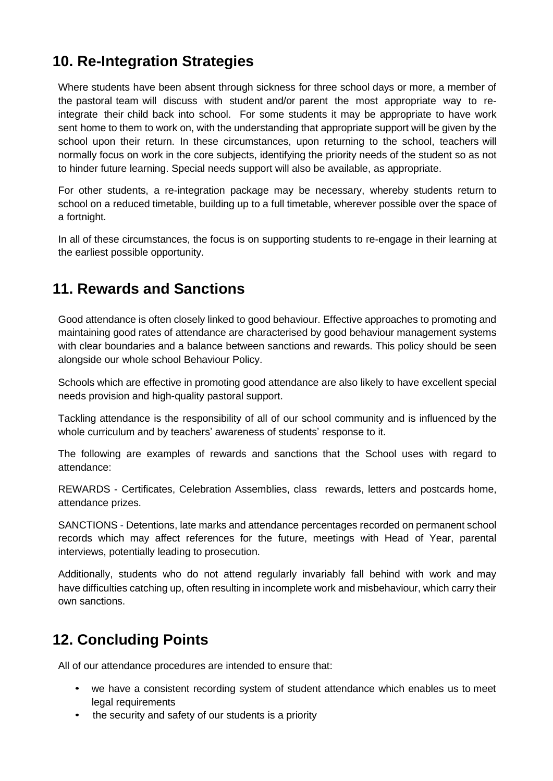# <span id="page-11-0"></span>**10. Re-Integration Strategies**

Where students have been absent through sickness for three school days or more, a member of the pastoral team will discuss with student and/or parent the most appropriate way to reintegrate their child back into school. For some students it may be appropriate to have work sent home to them to work on, with the understanding that appropriate support will be given by the school upon their return. In these circumstances, upon returning to the school, teachers will normally focus on work in the core subjects, identifying the priority needs of the student so as not to hinder future learning. Special needs support will also be available, as appropriate.

For other students, a re-integration package may be necessary, whereby students return to school on a reduced timetable, building up to a full timetable, wherever possible over the space of a fortnight.

In all of these circumstances, the focus is on supporting students to re-engage in their learning at the earliest possible opportunity.

### <span id="page-11-1"></span>**11. Rewards and Sanctions**

Good attendance is often closely linked to good behaviour. Effective approaches to promoting and maintaining good rates of attendance are characterised by good behaviour management systems with clear boundaries and a balance between sanctions and rewards. This policy should be seen alongside our whole school Behaviour Policy.

Schools which are effective in promoting good attendance are also likely to have excellent special needs provision and high-quality pastoral support.

Tackling attendance is the responsibility of all of our school community and is influenced by the whole curriculum and by teachers' awareness of students' response to it.

The following are examples of rewards and sanctions that the School uses with regard to attendance:

REWARDS - Certificates, Celebration Assemblies, class rewards, letters and postcards home, attendance prizes.

SANCTIONS - Detentions, late marks and attendance percentages recorded on permanent school records which may affect references for the future, meetings with Head of Year, parental interviews, potentially leading to prosecution.

Additionally, students who do not attend regularly invariably fall behind with work and may have difficulties catching up, often resulting in incomplete work and misbehaviour, which carry their own sanctions.

### <span id="page-11-2"></span>**12. Concluding Points**

All of our attendance procedures are intended to ensure that:

- we have a consistent recording system of student attendance which enables us to meet legal requirements
- the security and safety of our students is a priority